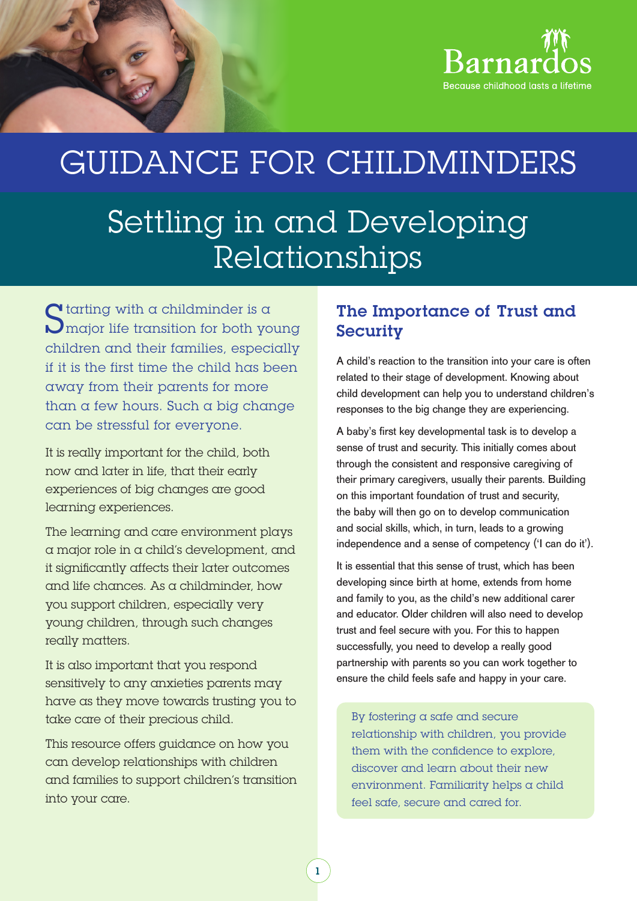

# GUIDANCE FOR CHILDMINDERS Settling in and Developing Relationships

 $S$  tarting with a childminder is a  $S$  major life transition for both young children and their families, especially if it is the first time the child has been away from their parents for more than a few hours. Such a big change can be stressful for everyone.

It is really important for the child, both now and later in life, that their early experiences of big changes are good learning experiences.

The learning and care environment plays a major role in a child's development, and it significantly affects their later outcomes and life chances. As a childminder, how you support children, especially very young children, through such changes really matters.

It is also important that you respond sensitively to any anxieties parents may have as they move towards trusting you to take care of their precious child.

This resource offers guidance on how you can develop relationships with children and families to support children's transition into your care.

# The Importance of Trust and Security

A child's reaction to the transition into your care is often related to their stage of development. Knowing about child development can help you to understand children's responses to the big change they are experiencing.

A baby's first key developmental task is to develop a sense of trust and security. This initially comes about through the consistent and responsive caregiving of their primary caregivers, usually their parents. Building on this important foundation of trust and security, the baby will then go on to develop communication and social skills, which, in turn, leads to a growing independence and a sense of competency ('I can do it').

It is essential that this sense of trust, which has been developing since birth at home, extends from home and family to you, as the child's new additional carer and educator. Older children will also need to develop trust and feel secure with you. For this to happen successfully, you need to develop a really good partnership with parents so you can work together to ensure the child feels safe and happy in your care.

By fostering a safe and secure relationship with children, you provide them with the confidence to explore, discover and learn about their new environment. Familiarity helps a child feel safe, secure and cared for.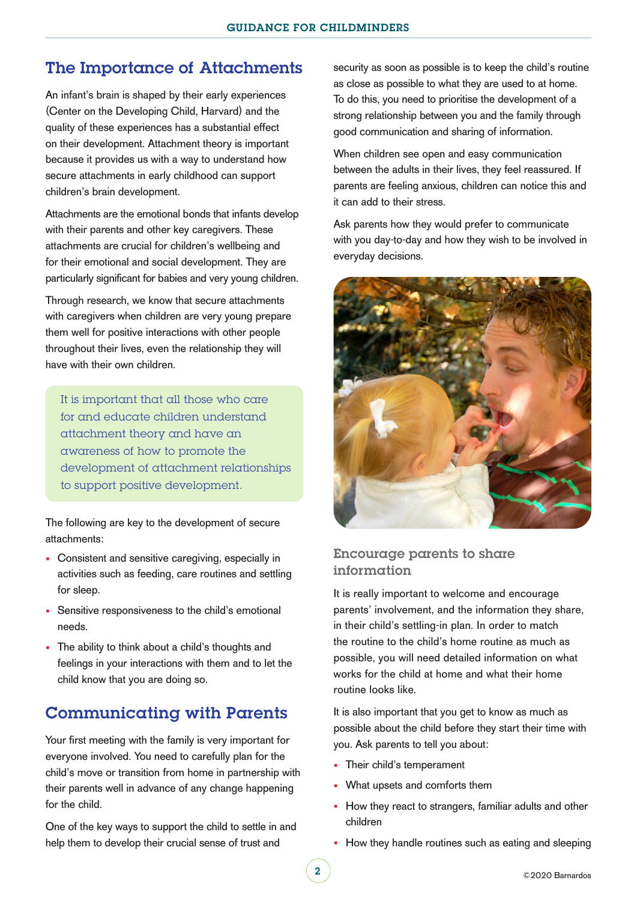# The Importance of Attachments

An infant's brain is shaped by their early experiences (Center on the Developing Child, Harvard) and the quality of these experiences has a substantial effect on their development. Attachment theory is important because it provides us with a way to understand how secure attachments in early childhood can support children's brain development.

Attachments are the emotional bonds that infants develop with their parents and other key caregivers. These attachments are crucial for children's wellbeing and for their emotional and social development. They are particularly significant for babies and very young children.

Through research, we know that secure attachments with caregivers when children are very young prepare them well for positive interactions with other people throughout their lives, even the relationship they will have with their own children.

It is important that all those who care for and educate children understand attachment theory and have an awareness of how to promote the development of attachment relationships to support positive development.

The following are key to the development of secure attachments:

- **Consistent and sensitive caregiving, especially in** activities such as feeding, care routines and settling for sleep.
- Sensitive responsiveness to the child's emotional needs.
- The ability to think about a child's thoughts and feelings in your interactions with them and to let the child know that you are doing so.

# Communicating with Parents

Your first meeting with the family is very important for everyone involved. You need to carefully plan for the child's move or transition from home in partnership with their parents well in advance of any change happening for the child.

One of the key ways to support the child to settle in and help them to develop their crucial sense of trust and

security as soon as possible is to keep the child's routine as close as possible to what they are used to at home. To do this, you need to prioritise the development of a strong relationship between you and the family through good communication and sharing of information.

When children see open and easy communication between the adults in their lives, they feel reassured. If parents are feeling anxious, children can notice this and it can add to their stress.

Ask parents how they would prefer to communicate with you day-to-day and how they wish to be involved in everyday decisions.



#### Encourage parents to share information

It is really important to welcome and encourage parents' involvement, and the information they share, in their child's settling-in plan. In order to match the routine to the child's home routine as much as possible, you will need detailed information on what works for the child at home and what their home routine looks like.

It is also important that you get to know as much as possible about the child before they start their time with you. Ask parents to tell you about:

- Their child's temperament
- What upsets and comforts them
- How they react to strangers, familiar adults and other children
- How they handle routines such as eating and sleeping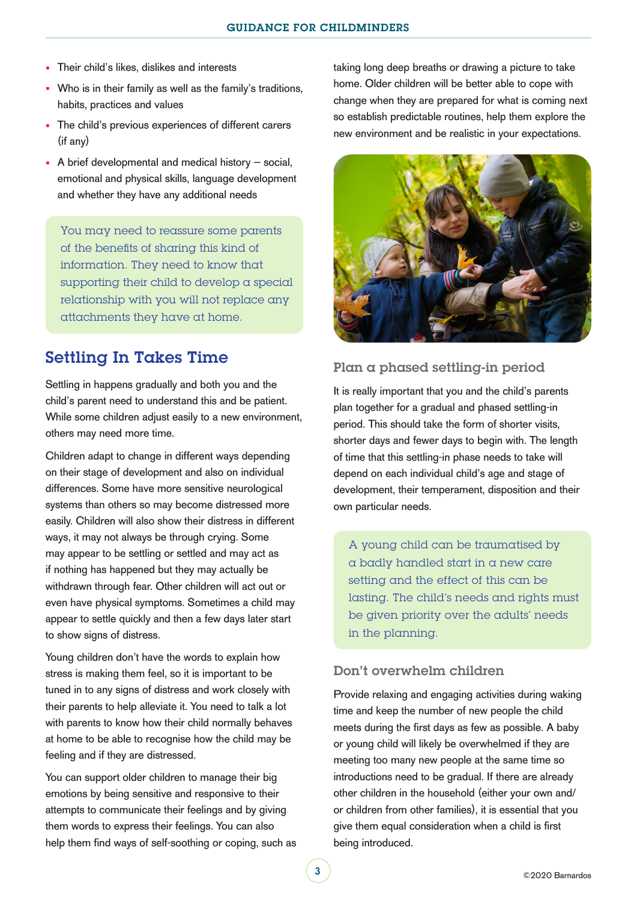- **Their child's likes, dislikes and interests**
- Who is in their family as well as the family's traditions, habits, practices and values
- The child's previous experiences of different carers (if any)
- $\blacksquare$  A brief developmental and medical history  $-$  social, emotional and physical skills, language development and whether they have any additional needs

You may need to reassure some parents of the benefits of sharing this kind of information. They need to know that supporting their child to develop a special relationship with you will not replace any attachments they have at home.

## Settling In Takes Time

Settling in happens gradually and both you and the child's parent need to understand this and be patient. While some children adjust easily to a new environment, others may need more time.

Children adapt to change in different ways depending on their stage of development and also on individual differences. Some have more sensitive neurological systems than others so may become distressed more easily. Children will also show their distress in different ways, it may not always be through crying. Some may appear to be settling or settled and may act as if nothing has happened but they may actually be withdrawn through fear. Other children will act out or even have physical symptoms. Sometimes a child may appear to settle quickly and then a few days later start to show signs of distress.

Young children don't have the words to explain how stress is making them feel, so it is important to be tuned in to any signs of distress and work closely with their parents to help alleviate it. You need to talk a lot with parents to know how their child normally behaves at home to be able to recognise how the child may be feeling and if they are distressed.

You can support older children to manage their big emotions by being sensitive and responsive to their attempts to communicate their feelings and by giving them words to express their feelings. You can also help them find ways of self-soothing or coping, such as taking long deep breaths or drawing a picture to take home. Older children will be better able to cope with change when they are prepared for what is coming next so establish predictable routines, help them explore the new environment and be realistic in your expectations.



#### Plan a phased settling-in period

It is really important that you and the child's parents plan together for a gradual and phased settling-in period. This should take the form of shorter visits, shorter days and fewer days to begin with. The length of time that this settling-in phase needs to take will depend on each individual child's age and stage of development, their temperament, disposition and their own particular needs.

A young child can be traumatised by a badly handled start in a new care setting and the effect of this can be lasting. The child's needs and rights must be given priority over the adults' needs in the planning.

#### Don't overwhelm children

Provide relaxing and engaging activities during waking time and keep the number of new people the child meets during the first days as few as possible. A baby or young child will likely be overwhelmed if they are meeting too many new people at the same time so introductions need to be gradual. If there are already other children in the household (either your own and/ or children from other families), it is essential that you give them equal consideration when a child is first being introduced.